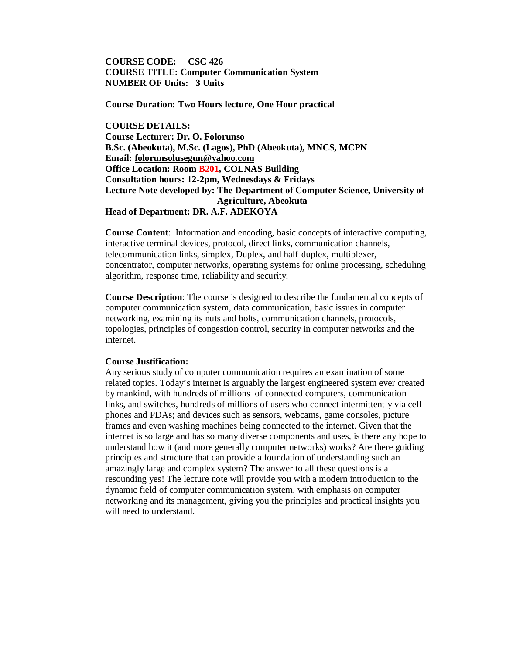**COURSE CODE: CSC 426 COURSE TITLE: Computer Communication System NUMBER OF Units: 3 Units**

**Course Duration: Two Hours lecture, One Hour practical**

**COURSE DETAILS: Course Lecturer: Dr. O. Folorunso B.Sc. (Abeokuta), M.Sc. (Lagos), PhD (Abeokuta), MNCS, MCPN Email: folorunsolusegun@yahoo.com Office Location: Room B201, COLNAS Building Consultation hours: 12-2pm, Wednesdays & Fridays Lecture Note developed by: The Department of Computer Science, University of Agriculture, Abeokuta Head of Department: DR. A.F. ADEKOYA**

**Course Content**: Information and encoding, basic concepts of interactive computing, interactive terminal devices, protocol, direct links, communication channels, telecommunication links, simplex, Duplex, and half-duplex, multiplexer, concentrator, computer networks, operating systems for online processing, scheduling algorithm, response time, reliability and security.

**Course Description**: The course is designed to describe the fundamental concepts of computer communication system, data communication, basic issues in computer networking, examining its nuts and bolts, communication channels, protocols, topologies, principles of congestion control, security in computer networks and the internet.

#### **Course Justification:**

Any serious study of computer communication requires an examination of some related topics. Today's internet is arguably the largest engineered system ever created by mankind, with hundreds of millions of connected computers, communication links, and switches, hundreds of millions of users who connect intermittently via cell phones and PDAs; and devices such as sensors, webcams, game consoles, picture frames and even washing machines being connected to the internet. Given that the internet is so large and has so many diverse components and uses, is there any hope to understand how it (and more generally computer networks) works? Are there guiding principles and structure that can provide a foundation of understanding such an amazingly large and complex system? The answer to all these questions is a resounding yes! The lecture note will provide you with a modern introduction to the dynamic field of computer communication system, with emphasis on computer networking and its management, giving you the principles and practical insights you will need to understand.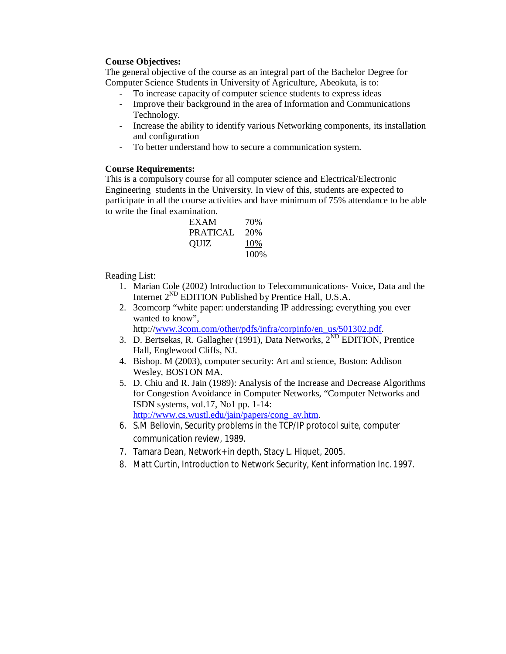## **Course Objectives:**

The general objective of the course as an integral part of the Bachelor Degree for Computer Science Students in University of Agriculture, Abeokuta, is to:

- To increase capacity of computer science students to express ideas
- Improve their background in the area of Information and Communications Technology.
- Increase the ability to identify various Networking components, its installation and configuration
- To better understand how to secure a communication system.

## **Course Requirements:**

This is a compulsory course for all computer science and Electrical/Electronic Engineering students in the University. In view of this, students are expected to participate in all the course activities and have minimum of 75% attendance to be able to write the final examination.

| EXAM     | 70%   |
|----------|-------|
| PRATICAL | 20\%  |
| OUIZ     | 10%   |
|          | 100\% |

Reading List:

- 1. Marian Cole (2002) Introduction to Telecommunications- Voice, Data and the Internet 2ND EDITION Published by Prentice Hall, U.S.A.
- 2. 3comcorp "white paper: understanding IP addressing; everything you ever wanted to know",

http://www.3com.com/other/pdfs/infra/corpinfo/en\_us/501302.pdf.

- 3. D. Bertsekas, R. Gallagher (1991), Data Networks, 2<sup>ND</sup> EDITION, Prentice Hall, Englewood Cliffs, NJ.
- 4. Bishop. M (2003), computer security: Art and science, Boston: Addison Wesley, BOSTON MA.
- 5. D. Chiu and R. Jain (1989): Analysis of the Increase and Decrease Algorithms for Congestion Avoidance in Computer Networks, "Computer Networks and ISDN systems, vol.17, No1 pp. 1-14: http://www.cs.wustl.edu/jain/papers/cong\_av.htm.
- 6. S.M Bellovin, Security problems in the TCP/IP protocol suite, computer communication review, 1989.
- 7. Tamara Dean, Network+ in depth, Stacy L. Hiquet, 2005.
- 8. Matt Curtin, Introduction to Network Security, Kent information Inc. 1997.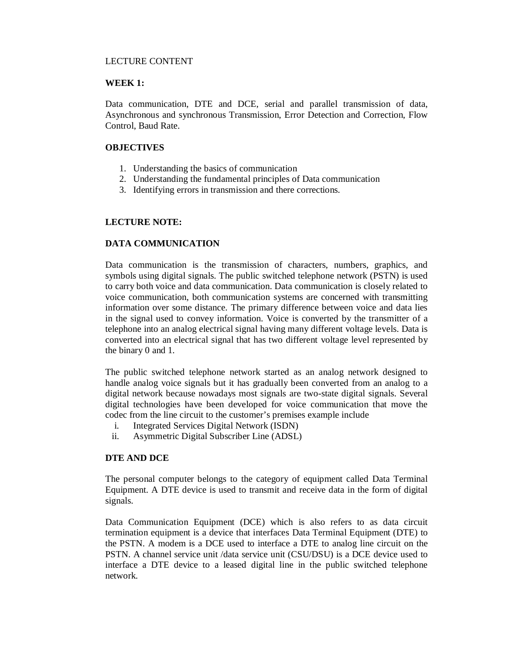## LECTURE CONTENT

## **WEEK 1:**

Data communication, DTE and DCE, serial and parallel transmission of data, Asynchronous and synchronous Transmission, Error Detection and Correction, Flow Control, Baud Rate.

## **OBJECTIVES**

- 1. Understanding the basics of communication
- 2. Understanding the fundamental principles of Data communication
- 3. Identifying errors in transmission and there corrections.

# **LECTURE NOTE:**

## **DATA COMMUNICATION**

Data communication is the transmission of characters, numbers, graphics, and symbols using digital signals. The public switched telephone network (PSTN) is used to carry both voice and data communication. Data communication is closely related to voice communication, both communication systems are concerned with transmitting information over some distance. The primary difference between voice and data lies in the signal used to convey information. Voice is converted by the transmitter of a telephone into an analog electrical signal having many different voltage levels. Data is converted into an electrical signal that has two different voltage level represented by the binary 0 and 1.

The public switched telephone network started as an analog network designed to handle analog voice signals but it has gradually been converted from an analog to a digital network because nowadays most signals are two-state digital signals. Several digital technologies have been developed for voice communication that move the codec from the line circuit to the customer's premises example include

- i. Integrated Services Digital Network (ISDN)
- ii. Asymmetric Digital Subscriber Line (ADSL)

### **DTE AND DCE**

The personal computer belongs to the category of equipment called Data Terminal Equipment. A DTE device is used to transmit and receive data in the form of digital signals.

Data Communication Equipment (DCE) which is also refers to as data circuit termination equipment is a device that interfaces Data Terminal Equipment (DTE) to the PSTN. A modem is a DCE used to interface a DTE to analog line circuit on the PSTN. A channel service unit /data service unit (CSU/DSU) is a DCE device used to interface a DTE device to a leased digital line in the public switched telephone network.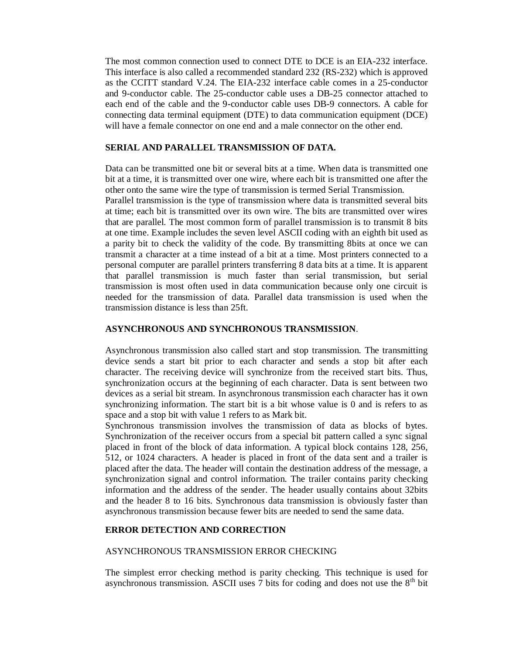The most common connection used to connect DTE to DCE is an EIA-232 interface. This interface is also called a recommended standard 232 (RS-232) which is approved as the CCITT standard V.24. The EIA-232 interface cable comes in a 25-conductor and 9-conductor cable. The 25-conductor cable uses a DB-25 connector attached to each end of the cable and the 9-conductor cable uses DB-9 connectors. A cable for connecting data terminal equipment (DTE) to data communication equipment (DCE) will have a female connector on one end and a male connector on the other end.

## **SERIAL AND PARALLEL TRANSMISSION OF DATA.**

Data can be transmitted one bit or several bits at a time. When data is transmitted one bit at a time, it is transmitted over one wire, where each bit is transmitted one after the other onto the same wire the type of transmission is termed Serial Transmission.

Parallel transmission is the type of transmission where data is transmitted several bits at time; each bit is transmitted over its own wire. The bits are transmitted over wires that are parallel. The most common form of parallel transmission is to transmit 8 bits at one time. Example includes the seven level ASCII coding with an eighth bit used as a parity bit to check the validity of the code. By transmitting 8bits at once we can transmit a character at a time instead of a bit at a time. Most printers connected to a personal computer are parallel printers transferring 8 data bits at a time. It is apparent that parallel transmission is much faster than serial transmission, but serial transmission is most often used in data communication because only one circuit is needed for the transmission of data. Parallel data transmission is used when the transmission distance is less than 25ft.

#### **ASYNCHRONOUS AND SYNCHRONOUS TRANSMISSION**.

Asynchronous transmission also called start and stop transmission. The transmitting device sends a start bit prior to each character and sends a stop bit after each character. The receiving device will synchronize from the received start bits. Thus, synchronization occurs at the beginning of each character. Data is sent between two devices as a serial bit stream. In asynchronous transmission each character has it own synchronizing information. The start bit is a bit whose value is 0 and is refers to as space and a stop bit with value 1 refers to as Mark bit.

Synchronous transmission involves the transmission of data as blocks of bytes. Synchronization of the receiver occurs from a special bit pattern called a sync signal placed in front of the block of data information. A typical block contains 128, 256, 512, or 1024 characters. A header is placed in front of the data sent and a trailer is placed after the data. The header will contain the destination address of the message, a synchronization signal and control information. The trailer contains parity checking information and the address of the sender. The header usually contains about 32bits and the header 8 to 16 bits. Synchronous data transmission is obviously faster than asynchronous transmission because fewer bits are needed to send the same data.

## **ERROR DETECTION AND CORRECTION**

#### ASYNCHRONOUS TRANSMISSION ERROR CHECKING

The simplest error checking method is parity checking. This technique is used for asynchronous transmission. ASCII uses 7 bits for coding and does not use the  $8<sup>th</sup>$  bit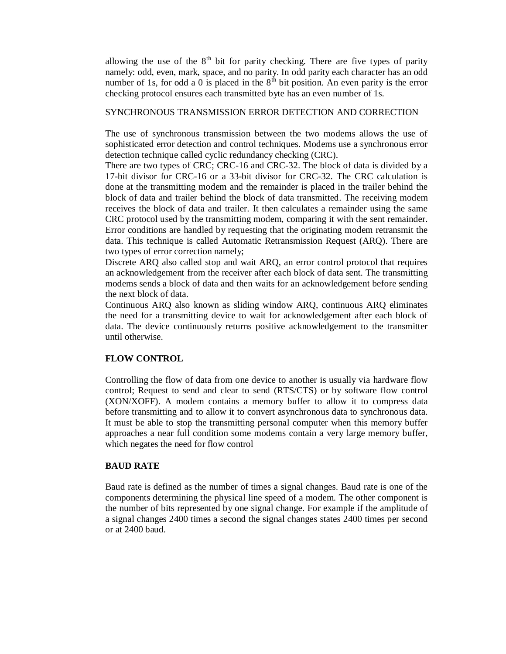allowing the use of the  $8<sup>th</sup>$  bit for parity checking. There are five types of parity namely: odd, even, mark, space, and no parity. In odd parity each character has an odd number of 1s, for odd a 0 is placed in the  $8<sup>th</sup>$  bit position. An even parity is the error checking protocol ensures each transmitted byte has an even number of 1s.

#### SYNCHRONOUS TRANSMISSION ERROR DETECTION AND CORRECTION

The use of synchronous transmission between the two modems allows the use of sophisticated error detection and control techniques. Modems use a synchronous error detection technique called cyclic redundancy checking (CRC).

There are two types of CRC; CRC-16 and CRC-32. The block of data is divided by a 17-bit divisor for CRC-16 or a 33-bit divisor for CRC-32. The CRC calculation is done at the transmitting modem and the remainder is placed in the trailer behind the block of data and trailer behind the block of data transmitted. The receiving modem receives the block of data and trailer. It then calculates a remainder using the same CRC protocol used by the transmitting modem, comparing it with the sent remainder. Error conditions are handled by requesting that the originating modem retransmit the data. This technique is called Automatic Retransmission Request (ARQ). There are two types of error correction namely;

Discrete ARQ also called stop and wait ARQ, an error control protocol that requires an acknowledgement from the receiver after each block of data sent. The transmitting modems sends a block of data and then waits for an acknowledgement before sending the next block of data.

Continuous ARQ also known as sliding window ARQ, continuous ARQ eliminates the need for a transmitting device to wait for acknowledgement after each block of data. The device continuously returns positive acknowledgement to the transmitter until otherwise.

#### **FLOW CONTROL**

Controlling the flow of data from one device to another is usually via hardware flow control; Request to send and clear to send (RTS/CTS) or by software flow control (XON/XOFF). A modem contains a memory buffer to allow it to compress data before transmitting and to allow it to convert asynchronous data to synchronous data. It must be able to stop the transmitting personal computer when this memory buffer approaches a near full condition some modems contain a very large memory buffer, which negates the need for flow control

### **BAUD RATE**

Baud rate is defined as the number of times a signal changes. Baud rate is one of the components determining the physical line speed of a modem. The other component is the number of bits represented by one signal change. For example if the amplitude of a signal changes 2400 times a second the signal changes states 2400 times per second or at 2400 baud.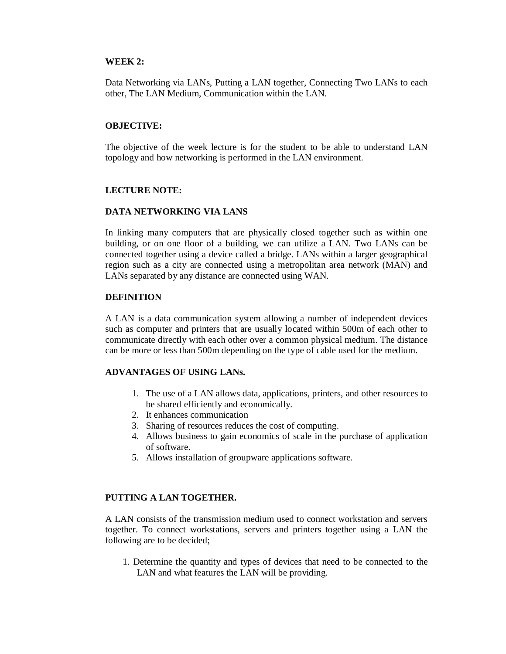### **WEEK 2:**

Data Networking via LANs, Putting a LAN together, Connecting Two LANs to each other, The LAN Medium, Communication within the LAN.

#### **OBJECTIVE:**

The objective of the week lecture is for the student to be able to understand LAN topology and how networking is performed in the LAN environment.

#### **LECTURE NOTE:**

#### **DATA NETWORKING VIA LANS**

In linking many computers that are physically closed together such as within one building, or on one floor of a building, we can utilize a LAN. Two LANs can be connected together using a device called a bridge. LANs within a larger geographical region such as a city are connected using a metropolitan area network (MAN) and LANs separated by any distance are connected using WAN.

#### **DEFINITION**

A LAN is a data communication system allowing a number of independent devices such as computer and printers that are usually located within 500m of each other to communicate directly with each other over a common physical medium. The distance can be more or less than 500m depending on the type of cable used for the medium.

### **ADVANTAGES OF USING LANs.**

- 1. The use of a LAN allows data, applications, printers, and other resources to be shared efficiently and economically.
- 2. It enhances communication
- 3. Sharing of resources reduces the cost of computing.
- 4. Allows business to gain economics of scale in the purchase of application of software.
- 5. Allows installation of groupware applications software.

### **PUTTING A LAN TOGETHER.**

A LAN consists of the transmission medium used to connect workstation and servers together. To connect workstations, servers and printers together using a LAN the following are to be decided;

1. Determine the quantity and types of devices that need to be connected to the LAN and what features the LAN will be providing.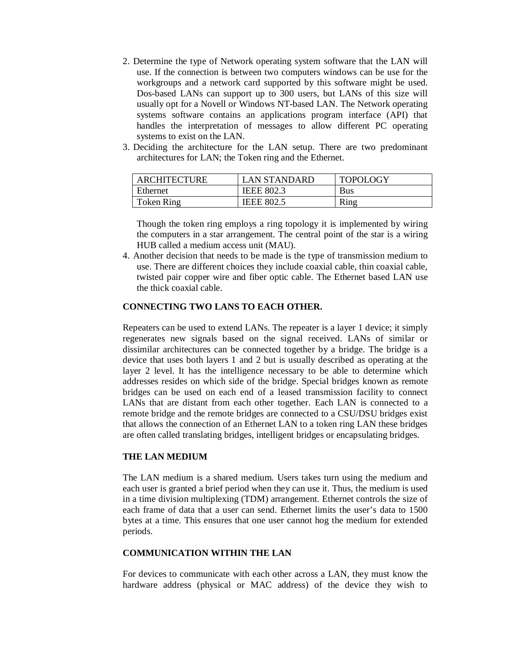- 2. Determine the type of Network operating system software that the LAN will use. If the connection is between two computers windows can be use for the workgroups and a network card supported by this software might be used. Dos-based LANs can support up to 300 users, but LANs of this size will usually opt for a Novell or Windows NT-based LAN. The Network operating systems software contains an applications program interface (API) that handles the interpretation of messages to allow different PC operating systems to exist on the LAN.
- 3. Deciding the architecture for the LAN setup. There are two predominant architectures for LAN; the Token ring and the Ethernet.

| <b>ARCHITECTURE</b> | <b>LAN STANDARD</b> | <b>TOPOLOGY</b> |
|---------------------|---------------------|-----------------|
| Ethernet            | <b>IEEE 802.3</b>   | Bus             |
| <b>Token Ring</b>   | <b>IEEE 802.5</b>   | Ring            |

Though the token ring employs a ring topology it is implemented by wiring the computers in a star arrangement. The central point of the star is a wiring HUB called a medium access unit (MAU).

4. Another decision that needs to be made is the type of transmission medium to use. There are different choices they include coaxial cable, thin coaxial cable, twisted pair copper wire and fiber optic cable. The Ethernet based LAN use the thick coaxial cable.

## **CONNECTING TWO LANS TO EACH OTHER.**

Repeaters can be used to extend LANs. The repeater is a layer 1 device; it simply regenerates new signals based on the signal received. LANs of similar or dissimilar architectures can be connected together by a bridge. The bridge is a device that uses both layers 1 and 2 but is usually described as operating at the layer 2 level. It has the intelligence necessary to be able to determine which addresses resides on which side of the bridge. Special bridges known as remote bridges can be used on each end of a leased transmission facility to connect LANs that are distant from each other together. Each LAN is connected to a remote bridge and the remote bridges are connected to a CSU/DSU bridges exist that allows the connection of an Ethernet LAN to a token ring LAN these bridges are often called translating bridges, intelligent bridges or encapsulating bridges.

#### **THE LAN MEDIUM**

The LAN medium is a shared medium. Users takes turn using the medium and each user is granted a brief period when they can use it. Thus, the medium is used in a time division multiplexing (TDM) arrangement. Ethernet controls the size of each frame of data that a user can send. Ethernet limits the user's data to 1500 bytes at a time. This ensures that one user cannot hog the medium for extended periods.

#### **COMMUNICATION WITHIN THE LAN**

For devices to communicate with each other across a LAN, they must know the hardware address (physical or MAC address) of the device they wish to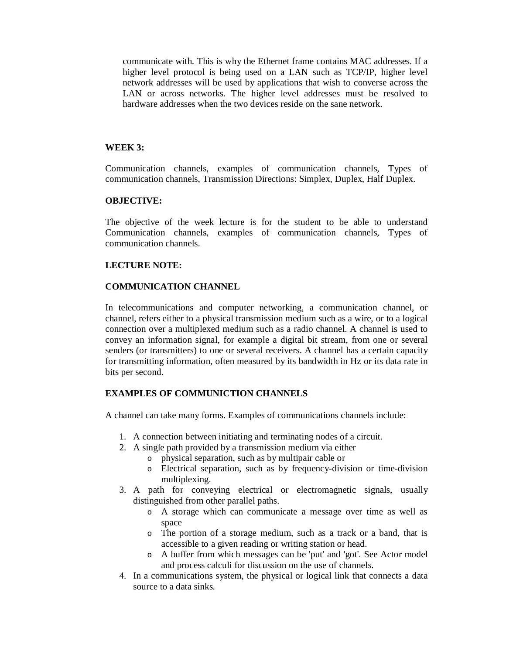communicate with. This is why the Ethernet frame contains MAC addresses. If a higher level protocol is being used on a LAN such as TCP/IP, higher level network addresses will be used by applications that wish to converse across the LAN or across networks. The higher level addresses must be resolved to hardware addresses when the two devices reside on the sane network.

#### **WEEK 3:**

Communication channels, examples of communication channels, Types of communication channels, Transmission Directions: Simplex, Duplex, Half Duplex.

#### **OBJECTIVE:**

The objective of the week lecture is for the student to be able to understand Communication channels, examples of communication channels, Types of communication channels.

#### **LECTURE NOTE:**

#### **COMMUNICATION CHANNEL**

In telecommunications and computer networking, a communication channel, or channel, refers either to a physical transmission medium such as a wire, or to a logical connection over a multiplexed medium such as a radio channel. A channel is used to convey an information signal, for example a digital bit stream, from one or several senders (or transmitters) to one or several receivers. A channel has a certain capacity for transmitting information, often measured by its bandwidth in Hz or its data rate in bits per second.

#### **EXAMPLES OF COMMUNICTION CHANNELS**

A channel can take many forms. Examples of communications channels include:

- 1. A connection between initiating and terminating nodes of a circuit.
- 2. A single path provided by a transmission medium via either
	- o physical separation, such as by multipair cable or
	- o Electrical separation, such as by frequency-division or time-division multiplexing.
- 3. A path for conveying electrical or electromagnetic signals, usually distinguished from other parallel paths.
	- o A storage which can communicate a message over time as well as space
	- o The portion of a storage medium, such as a track or a band, that is accessible to a given reading or writing station or head.
	- o A buffer from which messages can be 'put' and 'got'. See Actor model and process calculi for discussion on the use of channels.
- 4. In a communications system, the physical or logical link that connects a data source to a data sinks.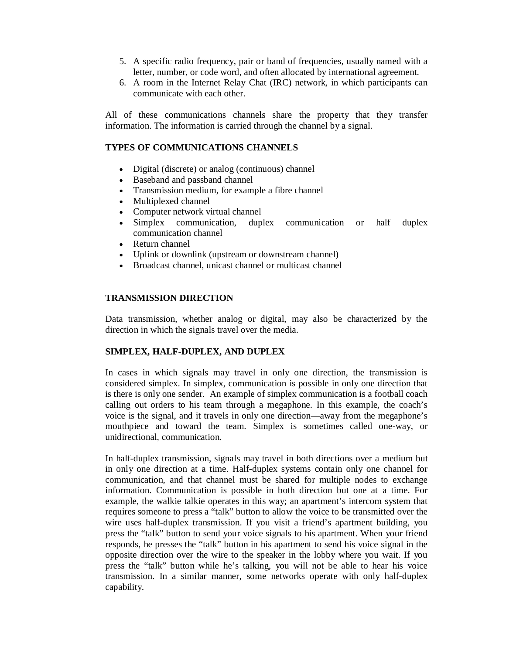- 5. A specific radio frequency, pair or band of frequencies, usually named with a letter, number, or code word, and often allocated by international agreement.
- 6. A room in the Internet Relay Chat (IRC) network, in which participants can communicate with each other.

All of these communications channels share the property that they transfer information. The information is carried through the channel by a signal.

# **TYPES OF COMMUNICATIONS CHANNELS**

- Digital (discrete) or analog (continuous) channel
- Baseband and passband channel
- Transmission medium, for example a fibre channel
- Multiplexed channel
- Computer network virtual channel
- Simplex communication, duplex communication or half duplex communication channel
- Return channel
- Uplink or downlink (upstream or downstream channel)
- Broadcast channel, unicast channel or multicast channel

## **TRANSMISSION DIRECTION**

Data transmission, whether analog or digital, may also be characterized by the direction in which the signals travel over the media.

### **SIMPLEX, HALF-DUPLEX, AND DUPLEX**

In cases in which signals may travel in only one direction, the transmission is considered simplex. In simplex, communication is possible in only one direction that is there is only one sender. An example of simplex communication is a football coach calling out orders to his team through a megaphone. In this example, the coach's voice is the signal, and it travels in only one direction—away from the megaphone's mouthpiece and toward the team. Simplex is sometimes called one-way, or unidirectional, communication.

In half-duplex transmission, signals may travel in both directions over a medium but in only one direction at a time. Half-duplex systems contain only one channel for communication, and that channel must be shared for multiple nodes to exchange information. Communication is possible in both direction but one at a time. For example, the walkie talkie operates in this way; an apartment's intercom system that requires someone to press a "talk" button to allow the voice to be transmitted over the wire uses half-duplex transmission. If you visit a friend's apartment building, you press the "talk" button to send your voice signals to his apartment. When your friend responds, he presses the "talk" button in his apartment to send his voice signal in the opposite direction over the wire to the speaker in the lobby where you wait. If you press the "talk" button while he's talking, you will not be able to hear his voice transmission. In a similar manner, some networks operate with only half-duplex capability.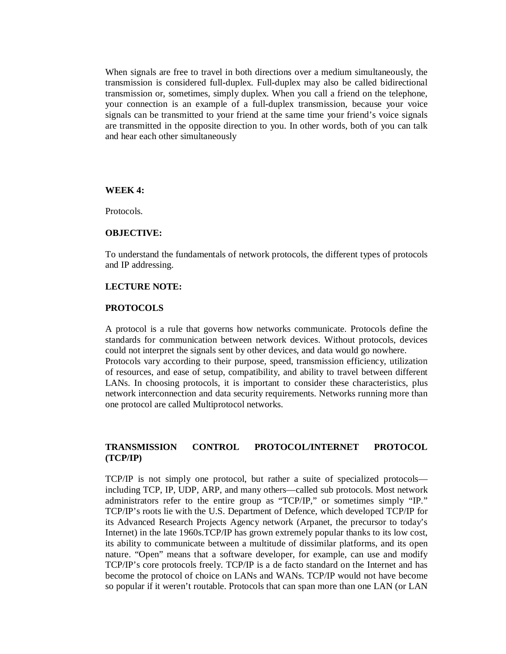When signals are free to travel in both directions over a medium simultaneously, the transmission is considered full-duplex. Full-duplex may also be called bidirectional transmission or, sometimes, simply duplex. When you call a friend on the telephone, your connection is an example of a full-duplex transmission, because your voice signals can be transmitted to your friend at the same time your friend's voice signals are transmitted in the opposite direction to you. In other words, both of you can talk and hear each other simultaneously

#### **WEEK 4:**

Protocols.

#### **OBJECTIVE:**

To understand the fundamentals of network protocols, the different types of protocols and IP addressing.

#### **LECTURE NOTE:**

#### **PROTOCOLS**

A protocol is a rule that governs how networks communicate. Protocols define the standards for communication between network devices. Without protocols, devices could not interpret the signals sent by other devices, and data would go nowhere. Protocols vary according to their purpose, speed, transmission efficiency, utilization of resources, and ease of setup, compatibility, and ability to travel between different LANs. In choosing protocols, it is important to consider these characteristics, plus network interconnection and data security requirements. Networks running more than one protocol are called Multiprotocol networks.

## **TRANSMISSION CONTROL PROTOCOL/INTERNET PROTOCOL (TCP/IP)**

TCP/IP is not simply one protocol, but rather a suite of specialized protocols including TCP, IP, UDP, ARP, and many others—called sub protocols. Most network administrators refer to the entire group as "TCP/IP," or sometimes simply "IP." TCP/IP's roots lie with the U.S. Department of Defence, which developed TCP/IP for its Advanced Research Projects Agency network (Arpanet, the precursor to today's Internet) in the late 1960s.TCP/IP has grown extremely popular thanks to its low cost, its ability to communicate between a multitude of dissimilar platforms, and its open nature. "Open" means that a software developer, for example, can use and modify TCP/IP's core protocols freely. TCP/IP is a de facto standard on the Internet and has become the protocol of choice on LANs and WANs. TCP/IP would not have become so popular if it weren't routable. Protocols that can span more than one LAN (or LAN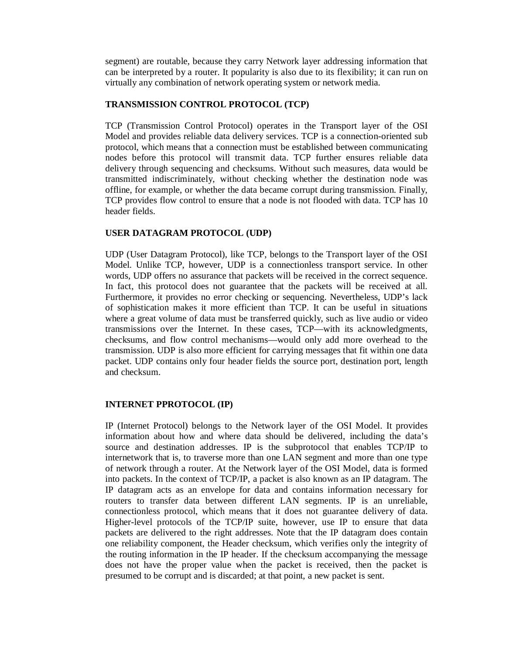segment) are routable, because they carry Network layer addressing information that can be interpreted by a router. It popularity is also due to its flexibility; it can run on virtually any combination of network operating system or network media.

## **TRANSMISSION CONTROL PROTOCOL (TCP)**

TCP (Transmission Control Protocol) operates in the Transport layer of the OSI Model and provides reliable data delivery services. TCP is a connection-oriented sub protocol, which means that a connection must be established between communicating nodes before this protocol will transmit data. TCP further ensures reliable data delivery through sequencing and checksums. Without such measures, data would be transmitted indiscriminately, without checking whether the destination node was offline, for example, or whether the data became corrupt during transmission. Finally, TCP provides flow control to ensure that a node is not flooded with data. TCP has 10 header fields.

### **USER DATAGRAM PROTOCOL (UDP)**

UDP (User Datagram Protocol), like TCP, belongs to the Transport layer of the OSI Model. Unlike TCP, however, UDP is a connectionless transport service. In other words, UDP offers no assurance that packets will be received in the correct sequence. In fact, this protocol does not guarantee that the packets will be received at all. Furthermore, it provides no error checking or sequencing. Nevertheless, UDP's lack of sophistication makes it more efficient than TCP. It can be useful in situations where a great volume of data must be transferred quickly, such as live audio or video transmissions over the Internet. In these cases, TCP—with its acknowledgments, checksums, and flow control mechanisms—would only add more overhead to the transmission. UDP is also more efficient for carrying messages that fit within one data packet. UDP contains only four header fields the source port, destination port, length and checksum.

### **INTERNET PPROTOCOL (IP)**

IP (Internet Protocol) belongs to the Network layer of the OSI Model. It provides information about how and where data should be delivered, including the data's source and destination addresses. IP is the subprotocol that enables TCP/IP to internetwork that is, to traverse more than one LAN segment and more than one type of network through a router. At the Network layer of the OSI Model, data is formed into packets. In the context of TCP/IP, a packet is also known as an IP datagram. The IP datagram acts as an envelope for data and contains information necessary for routers to transfer data between different LAN segments. IP is an unreliable, connectionless protocol, which means that it does not guarantee delivery of data. Higher-level protocols of the TCP/IP suite, however, use IP to ensure that data packets are delivered to the right addresses. Note that the IP datagram does contain one reliability component, the Header checksum, which verifies only the integrity of the routing information in the IP header. If the checksum accompanying the message does not have the proper value when the packet is received, then the packet is presumed to be corrupt and is discarded; at that point, a new packet is sent.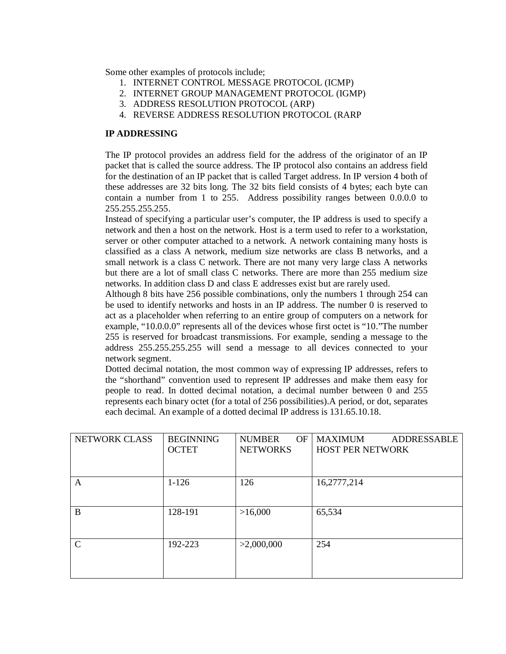Some other examples of protocols include;

- 1. INTERNET CONTROL MESSAGE PROTOCOL (ICMP)
- 2. INTERNET GROUP MANAGEMENT PROTOCOL (IGMP)
- 3. ADDRESS RESOLUTION PROTOCOL (ARP)
- 4. REVERSE ADDRESS RESOLUTION PROTOCOL (RARP

## **IP ADDRESSING**

The IP protocol provides an address field for the address of the originator of an IP packet that is called the source address. The IP protocol also contains an address field for the destination of an IP packet that is called Target address. In IP version 4 both of these addresses are 32 bits long. The 32 bits field consists of 4 bytes; each byte can contain a number from 1 to 255. Address possibility ranges between 0.0.0.0 to 255.255.255.255.

Instead of specifying a particular user's computer, the IP address is used to specify a network and then a host on the network. Host is a term used to refer to a workstation, server or other computer attached to a network. A network containing many hosts is classified as a class A network, medium size networks are class B networks, and a small network is a class C network. There are not many very large class A networks but there are a lot of small class C networks. There are more than 255 medium size networks. In addition class D and class E addresses exist but are rarely used.

Although 8 bits have 256 possible combinations, only the numbers 1 through 254 can be used to identify networks and hosts in an IP address. The number 0 is reserved to act as a placeholder when referring to an entire group of computers on a network for example, "10.0.0.0" represents all of the devices whose first octet is "10."The number 255 is reserved for broadcast transmissions. For example, sending a message to the address 255.255.255.255 will send a message to all devices connected to your network segment.

Dotted decimal notation, the most common way of expressing IP addresses, refers to the "shorthand" convention used to represent IP addresses and make them easy for people to read. In dotted decimal notation, a decimal number between 0 and 255 represents each binary octet (for a total of 256 possibilities).A period, or dot, separates each decimal. An example of a dotted decimal IP address is 131.65.10.18.

| <b>NETWORK CLASS</b> | <b>BEGINNING</b> | <b>OF</b><br><b>NUMBER</b> | <b>MAXIMUM</b><br><b>ADDRESSABLE</b> |
|----------------------|------------------|----------------------------|--------------------------------------|
|                      | <b>OCTET</b>     | <b>NETWORKS</b>            | <b>HOST PER NETWORK</b>              |
|                      |                  |                            |                                      |
| A                    | $1 - 126$        | 126                        | 16,2777,214                          |
|                      |                  |                            |                                      |
| B                    | 128-191          | >16,000                    | 65,534                               |
|                      |                  |                            |                                      |
| $\mathcal{C}$        | 192-223          | >2,000,000                 | 254                                  |
|                      |                  |                            |                                      |
|                      |                  |                            |                                      |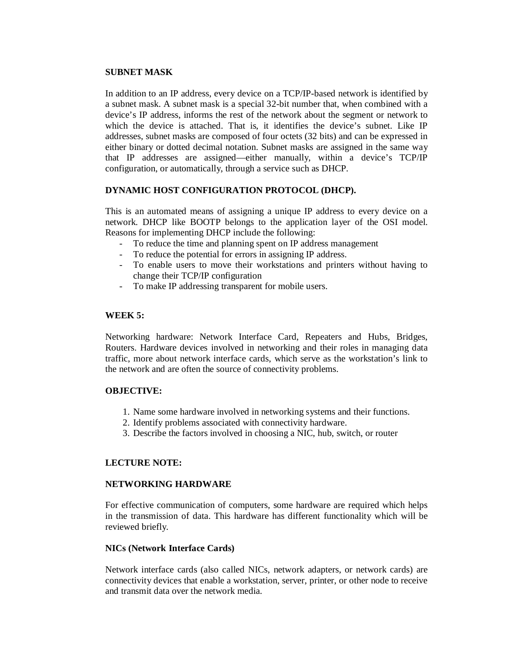### **SUBNET MASK**

In addition to an IP address, every device on a TCP/IP-based network is identified by a subnet mask. A subnet mask is a special 32-bit number that, when combined with a device's IP address, informs the rest of the network about the segment or network to which the device is attached. That is, it identifies the device's subnet. Like IP addresses, subnet masks are composed of four octets (32 bits) and can be expressed in either binary or dotted decimal notation. Subnet masks are assigned in the same way that IP addresses are assigned—either manually, within a device's TCP/IP configuration, or automatically, through a service such as DHCP.

### **DYNAMIC HOST CONFIGURATION PROTOCOL (DHCP).**

This is an automated means of assigning a unique IP address to every device on a network. DHCP like BOOTP belongs to the application layer of the OSI model. Reasons for implementing DHCP include the following:

- To reduce the time and planning spent on IP address management
- To reduce the potential for errors in assigning IP address.
- To enable users to move their workstations and printers without having to change their TCP/IP configuration
- To make IP addressing transparent for mobile users.

## **WEEK 5:**

Networking hardware: Network Interface Card, Repeaters and Hubs, Bridges, Routers. Hardware devices involved in networking and their roles in managing data traffic, more about network interface cards, which serve as the workstation's link to the network and are often the source of connectivity problems.

### **OBJECTIVE:**

- 1. Name some hardware involved in networking systems and their functions.
- 2. Identify problems associated with connectivity hardware.
- 3. Describe the factors involved in choosing a NIC, hub, switch, or router

# **LECTURE NOTE:**

### **NETWORKING HARDWARE**

For effective communication of computers, some hardware are required which helps in the transmission of data. This hardware has different functionality which will be reviewed briefly.

### **NICs (Network Interface Cards)**

Network interface cards (also called NICs, network adapters, or network cards) are connectivity devices that enable a workstation, server, printer, or other node to receive and transmit data over the network media.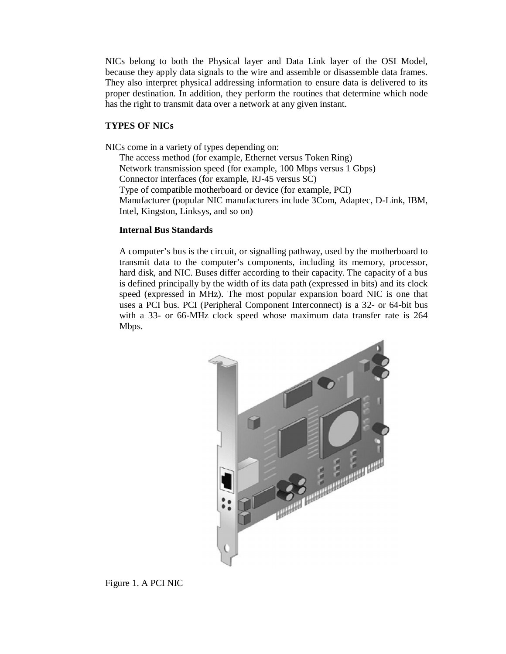NICs belong to both the Physical layer and Data Link layer of the OSI Model, because they apply data signals to the wire and assemble or disassemble data frames. They also interpret physical addressing information to ensure data is delivered to its proper destination. In addition, they perform the routines that determine which node has the right to transmit data over a network at any given instant.

#### **TYPES OF NICs**

NICs come in a variety of types depending on:

The access method (for example, Ethernet versus Token Ring) Network transmission speed (for example, 100 Mbps versus 1 Gbps) Connector interfaces (for example, RJ-45 versus SC) Type of compatible motherboard or device (for example, PCI) Manufacturer (popular NIC manufacturers include 3Com, Adaptec, D-Link, IBM, Intel, Kingston, Linksys, and so on)

#### **Internal Bus Standards**

A computer's bus is the circuit, or signalling pathway, used by the motherboard to transmit data to the computer's components, including its memory, processor, hard disk, and NIC. Buses differ according to their capacity. The capacity of a bus is defined principally by the width of its data path (expressed in bits) and its clock speed (expressed in MHz). The most popular expansion board NIC is one that uses a PCI bus. PCI (Peripheral Component Interconnect) is a 32- or 64-bit bus with a 33- or 66-MHz clock speed whose maximum data transfer rate is 264 Mbps.



Figure 1. A PCI NIC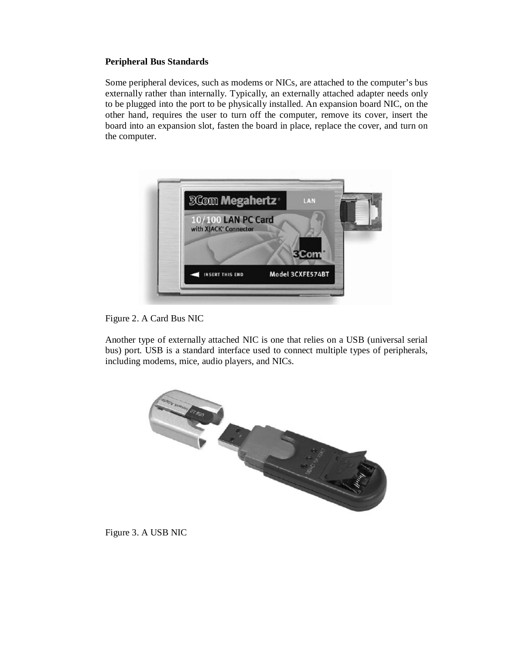### **Peripheral Bus Standards**

Some peripheral devices, such as modems or NICs, are attached to the computer's bus externally rather than internally. Typically, an externally attached adapter needs only to be plugged into the port to be physically installed. An expansion board NIC, on the other hand, requires the user to turn off the computer, remove its cover, insert the board into an expansion slot, fasten the board in place, replace the cover, and turn on the computer.



Figure 2. A Card Bus NIC

Another type of externally attached NIC is one that relies on a USB (universal serial bus) port. USB is a standard interface used to connect multiple types of peripherals, including modems, mice, audio players, and NICs.



Figure 3. A USB NIC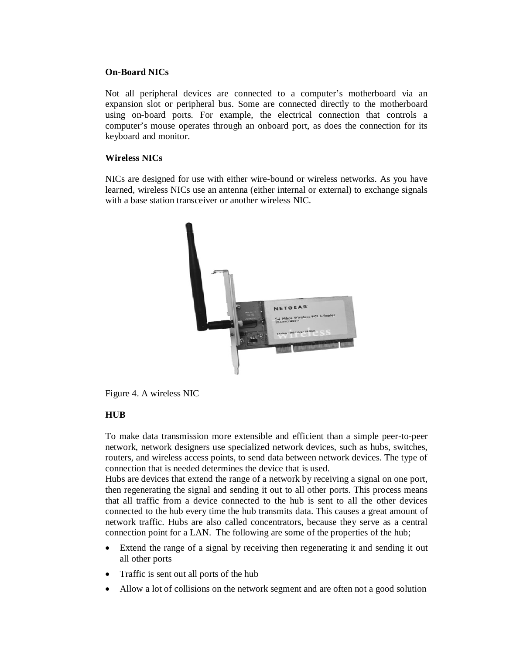## **On-Board NICs**

Not all peripheral devices are connected to a computer's motherboard via an expansion slot or peripheral bus. Some are connected directly to the motherboard using on-board ports. For example, the electrical connection that controls a computer's mouse operates through an onboard port, as does the connection for its keyboard and monitor.

## **Wireless NICs**

NICs are designed for use with either wire-bound or wireless networks. As you have learned, wireless NICs use an antenna (either internal or external) to exchange signals with a base station transceiver or another wireless NIC.



Figure 4. A wireless NIC

# **HUB**

To make data transmission more extensible and efficient than a simple peer-to-peer network, network designers use specialized network devices, such as hubs, switches, routers, and wireless access points, to send data between network devices. The type of connection that is needed determines the device that is used.

Hubs are devices that extend the range of a network by receiving a signal on one port, then regenerating the signal and sending it out to all other ports. This process means that all traffic from a device connected to the hub is sent to all the other devices connected to the hub every time the hub transmits data. This causes a great amount of network traffic. Hubs are also called concentrators, because they serve as a central connection point for a LAN. The following are some of the properties of the hub;

- Extend the range of a signal by receiving then regenerating it and sending it out all other ports
- Traffic is sent out all ports of the hub
- Allow a lot of collisions on the network segment and are often not a good solution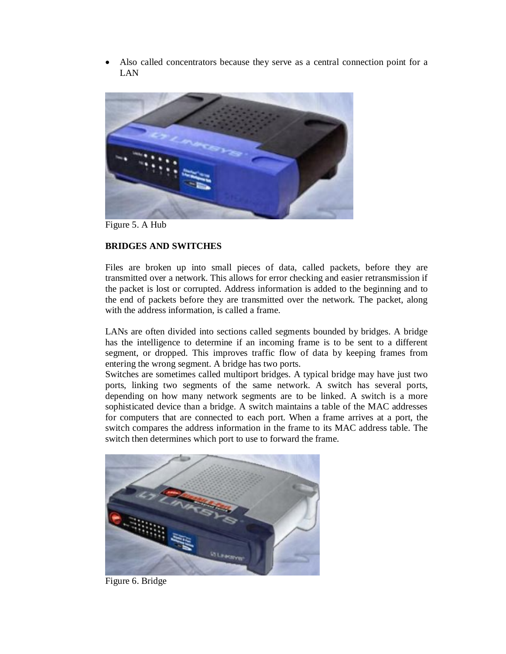Also called concentrators because they serve as a central connection point for a LAN



Figure 5. A Hub

### **BRIDGES AND SWITCHES**

Files are broken up into small pieces of data, called packets, before they are transmitted over a network. This allows for error checking and easier retransmission if the packet is lost or corrupted. Address information is added to the beginning and to the end of packets before they are transmitted over the network. The packet, along with the address information, is called a frame.

LANs are often divided into sections called segments bounded by bridges. A bridge has the intelligence to determine if an incoming frame is to be sent to a different segment, or dropped. This improves traffic flow of data by keeping frames from entering the wrong segment. A bridge has two ports.

Switches are sometimes called multiport bridges. A typical bridge may have just two ports, linking two segments of the same network. A switch has several ports, depending on how many network segments are to be linked. A switch is a more sophisticated device than a bridge. A switch maintains a table of the MAC addresses for computers that are connected to each port. When a frame arrives at a port, the switch compares the address information in the frame to its MAC address table. The switch then determines which port to use to forward the frame.



Figure 6. Bridge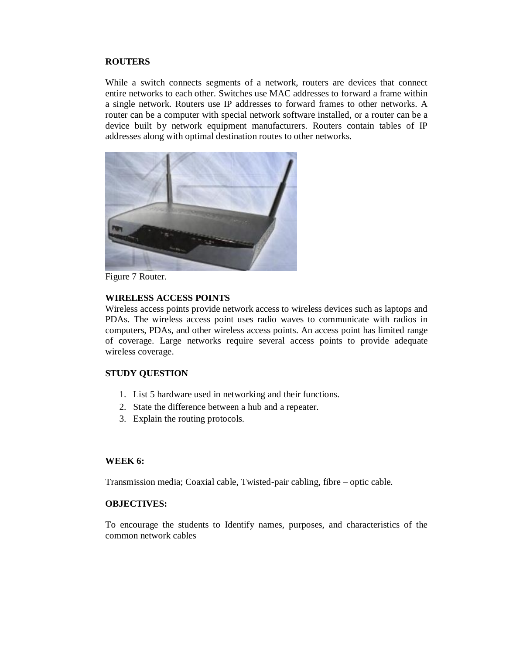#### **ROUTERS**

While a switch connects segments of a network, routers are devices that connect entire networks to each other. Switches use MAC addresses to forward a frame within a single network. Routers use IP addresses to forward frames to other networks. A router can be a computer with special network software installed, or a router can be a device built by network equipment manufacturers. Routers contain tables of IP addresses along with optimal destination routes to other networks.



Figure 7 Router.

#### **WIRELESS ACCESS POINTS**

Wireless access points provide network access to wireless devices such as laptops and PDAs. The wireless access point uses radio waves to communicate with radios in computers, PDAs, and other wireless access points. An access point has limited range of coverage. Large networks require several access points to provide adequate wireless coverage.

#### **STUDY QUESTION**

- 1. List 5 hardware used in networking and their functions.
- 2. State the difference between a hub and a repeater.
- 3. Explain the routing protocols.

#### **WEEK 6:**

Transmission media; Coaxial cable, Twisted-pair cabling, fibre – optic cable.

### **OBJECTIVES:**

To encourage the students to Identify names, purposes, and characteristics of the common network cables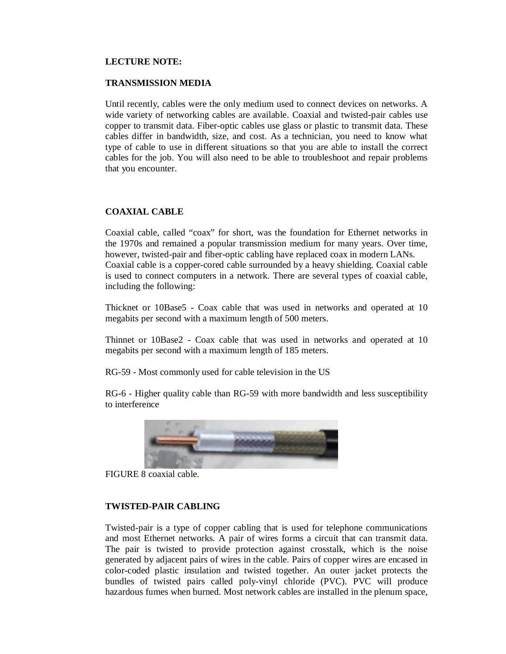#### **LECTURE NOTE:**

#### **TRANSMISSION MEDIA**

Until recently, cables were the only medium used to connect devices on networks. A wide variety of networking cables are available. Coaxial and twisted-pair cables use copper to transmit data. Fiber-optic cables use glass or plastic to transmit data. These cables differ in bandwidth, size, and cost. As a technician, you need to know what type of cable to use in different situations so that you are able to install the correct cables for the job. You will also need to be able to troubleshoot and repair problems that you encounter.

### **COAXIAL CABLE**

Coaxial cable, called "coax" for short, was the foundation for Ethernet networks in the 1970s and remained a popular transmission medium for many years. Over time, however, twisted-pair and fiber-optic cabling have replaced coax in modern LANs. Coaxial cable is a copper-cored cable surrounded by a heavy shielding. Coaxial cable is used to connect computers in a network. There are several types of coaxial cable, including the following:

Thicknet or 10Base5 - Coax cable that was used in networks and operated at 10 megabits per second with a maximum length of 500 meters.

Thinnet or 10Base2 - Coax cable that was used in networks and operated at 10 megabits per second with a maximum length of 185 meters.

RG-59 - Most commonly used for cable television in the US

RG-6 - Higher quality cable than RG-59 with more bandwidth and less susceptibility to interference



FIGURE 8 coaxial cable.

### **TWISTED-PAIR CABLING**

Twisted-pair is a type of copper cabling that is used for telephone communications and most Ethernet networks. A pair of wires forms a circuit that can transmit data. The pair is twisted to provide protection against crosstalk, which is the noise generated by adjacent pairs of wires in the cable. Pairs of copper wires are encased in color-coded plastic insulation and twisted together. An outer jacket protects the bundles of twisted pairs called poly-vinyl chloride (PVC). PVC will produce hazardous fumes when burned. Most network cables are installed in the plenum space,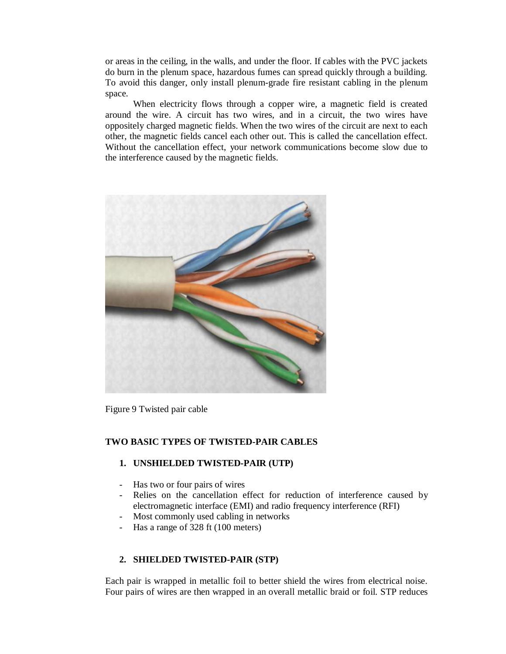or areas in the ceiling, in the walls, and under the floor. If cables with the PVC jackets do burn in the plenum space, hazardous fumes can spread quickly through a building. To avoid this danger, only install plenum-grade fire resistant cabling in the plenum space.

When electricity flows through a copper wire, a magnetic field is created around the wire. A circuit has two wires, and in a circuit, the two wires have oppositely charged magnetic fields. When the two wires of the circuit are next to each other, the magnetic fields cancel each other out. This is called the cancellation effect. Without the cancellation effect, your network communications become slow due to the interference caused by the magnetic fields.



Figure 9 Twisted pair cable

### **TWO BASIC TYPES OF TWISTED-PAIR CABLES**

### **1. UNSHIELDED TWISTED-PAIR (UTP)**

- Has two or four pairs of wires
- Relies on the cancellation effect for reduction of interference caused by electromagnetic interface (EMI) and radio frequency interference (RFI)
- Most commonly used cabling in networks
- Has a range of 328 ft (100 meters)

#### **2. SHIELDED TWISTED-PAIR (STP)**

Each pair is wrapped in metallic foil to better shield the wires from electrical noise. Four pairs of wires are then wrapped in an overall metallic braid or foil. STP reduces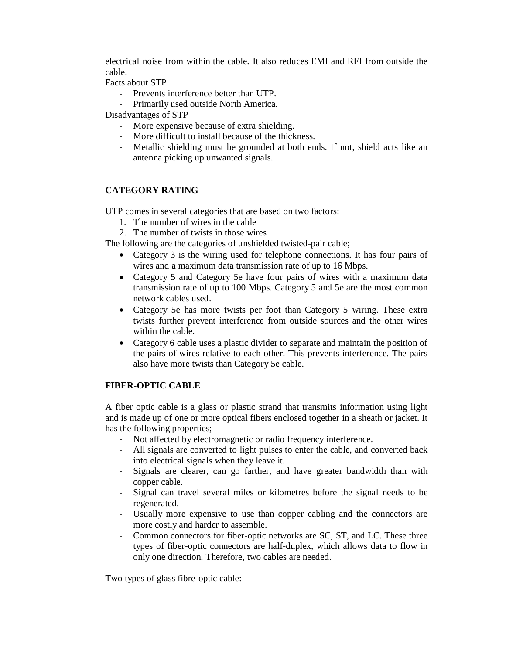electrical noise from within the cable. It also reduces EMI and RFI from outside the cable.

Facts about STP

- Prevents interference better than UTP.
- Primarily used outside North America.

Disadvantages of STP

- More expensive because of extra shielding.
- More difficult to install because of the thickness.
- Metallic shielding must be grounded at both ends. If not, shield acts like an antenna picking up unwanted signals.

# **CATEGORY RATING**

UTP comes in several categories that are based on two factors:

- 1. The number of wires in the cable
- 2. The number of twists in those wires

The following are the categories of unshielded twisted-pair cable;

- Category 3 is the wiring used for telephone connections. It has four pairs of wires and a maximum data transmission rate of up to 16 Mbps.
- Category 5 and Category 5e have four pairs of wires with a maximum data transmission rate of up to 100 Mbps. Category 5 and 5e are the most common network cables used.
- Category 5e has more twists per foot than Category 5 wiring. These extra twists further prevent interference from outside sources and the other wires within the cable.
- Category 6 cable uses a plastic divider to separate and maintain the position of the pairs of wires relative to each other. This prevents interference. The pairs also have more twists than Category 5e cable.

# **FIBER-OPTIC CABLE**

A fiber optic cable is a glass or plastic strand that transmits information using light and is made up of one or more optical fibers enclosed together in a sheath or jacket. It has the following properties;

- Not affected by electromagnetic or radio frequency interference.
- All signals are converted to light pulses to enter the cable, and converted back into electrical signals when they leave it.
- Signals are clearer, can go farther, and have greater bandwidth than with copper cable.
- Signal can travel several miles or kilometres before the signal needs to be regenerated.
- Usually more expensive to use than copper cabling and the connectors are more costly and harder to assemble.
- Common connectors for fiber-optic networks are SC, ST, and LC. These three types of fiber-optic connectors are half-duplex, which allows data to flow in only one direction. Therefore, two cables are needed.

Two types of glass fibre-optic cable: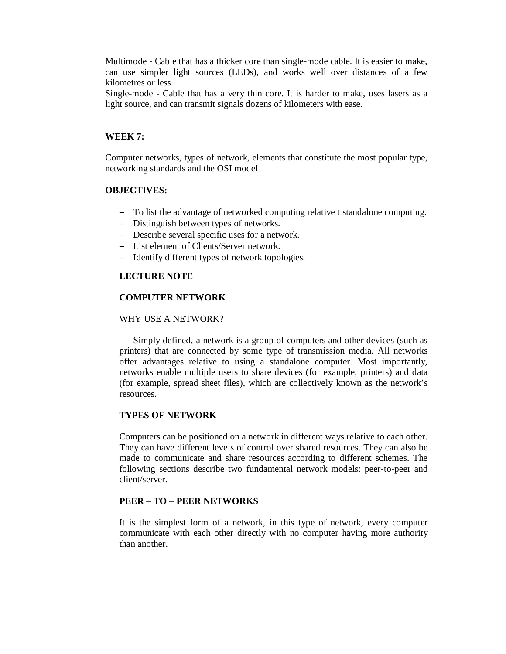Multimode - Cable that has a thicker core than single-mode cable. It is easier to make, can use simpler light sources (LEDs), and works well over distances of a few kilometres or less.

Single-mode - Cable that has a very thin core. It is harder to make, uses lasers as a light source, and can transmit signals dozens of kilometers with ease.

### **WEEK 7:**

Computer networks, types of network, elements that constitute the most popular type, networking standards and the OSI model

#### **OBJECTIVES:**

- To list the advantage of networked computing relative t standalone computing.
- Distinguish between types of networks.
- Describe several specific uses for a network.
- List element of Clients/Server network.
- Identify different types of network topologies.

### **LECTURE NOTE**

## **COMPUTER NETWORK**

#### WHY USE A NETWORK?

Simply defined, a network is a group of computers and other devices (such as printers) that are connected by some type of transmission media. All networks offer advantages relative to using a standalone computer. Most importantly, networks enable multiple users to share devices (for example, printers) and data (for example, spread sheet files), which are collectively known as the network's resources.

### **TYPES OF NETWORK**

Computers can be positioned on a network in different ways relative to each other. They can have different levels of control over shared resources. They can also be made to communicate and share resources according to different schemes. The following sections describe two fundamental network models: peer-to-peer and client/server.

#### **PEER – TO – PEER NETWORKS**

It is the simplest form of a network, in this type of network, every computer communicate with each other directly with no computer having more authority than another.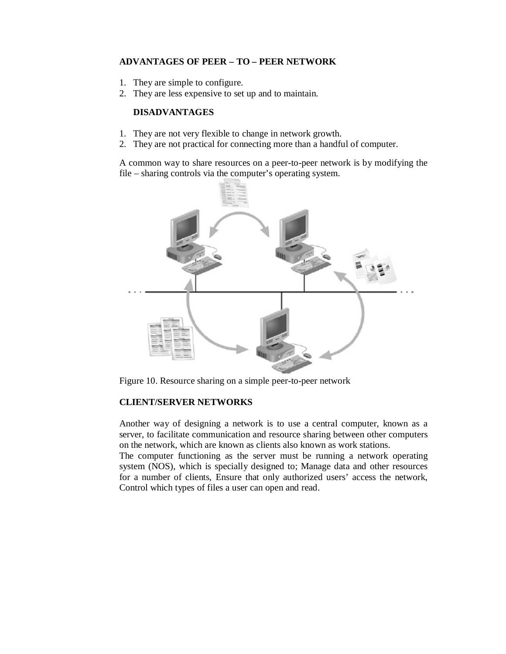# **ADVANTAGES OF PEER – TO – PEER NETWORK**

- 1. They are simple to configure.
- 2. They are less expensive to set up and to maintain.

# **DISADVANTAGES**

- 1. They are not very flexible to change in network growth.
- 2. They are not practical for connecting more than a handful of computer.

A common way to share resources on a peer-to-peer network is by modifying the file – sharing controls via the computer's operating system.



Figure 10. Resource sharing on a simple peer-to-peer network

# **CLIENT/SERVER NETWORKS**

Another way of designing a network is to use a central computer, known as a server, to facilitate communication and resource sharing between other computers on the network, which are known as clients also known as work stations.

The computer functioning as the server must be running a network operating system (NOS), which is specially designed to; Manage data and other resources for a number of clients, Ensure that only authorized users' access the network, Control which types of files a user can open and read.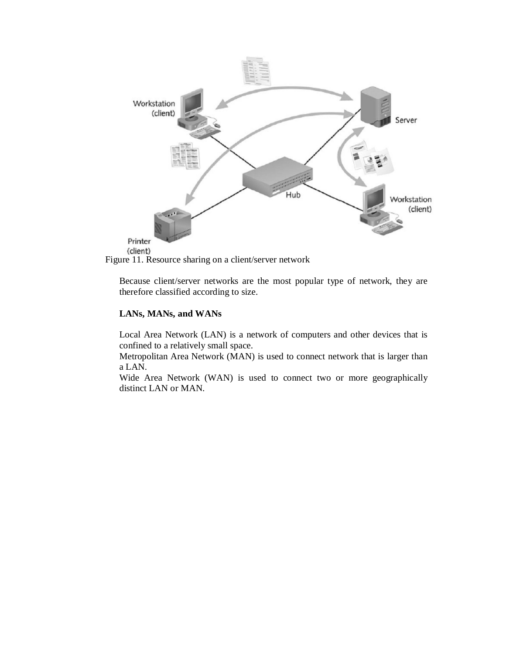

Figure 11. Resource sharing on a client/server network

Because client/server networks are the most popular type of network, they are therefore classified according to size.

# **LANs, MANs, and WANs**

Local Area Network (LAN) is a network of computers and other devices that is confined to a relatively small space.

Metropolitan Area Network (MAN) is used to connect network that is larger than a LAN.

Wide Area Network (WAN) is used to connect two or more geographically distinct LAN or MAN.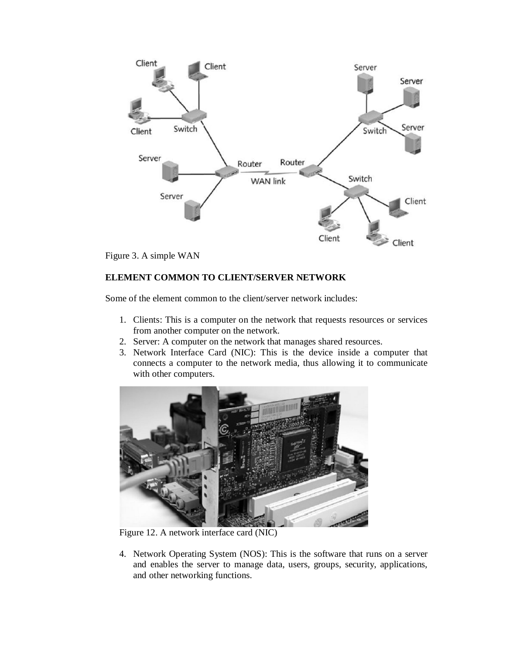



# **ELEMENT COMMON TO CLIENT/SERVER NETWORK**

Some of the element common to the client/server network includes:

- 1. Clients: This is a computer on the network that requests resources or services from another computer on the network.
- 2. Server: A computer on the network that manages shared resources.
- 3. Network Interface Card (NIC): This is the device inside a computer that connects a computer to the network media, thus allowing it to communicate with other computers.



Figure 12. A network interface card (NIC)

4. Network Operating System (NOS): This is the software that runs on a server and enables the server to manage data, users, groups, security, applications, and other networking functions.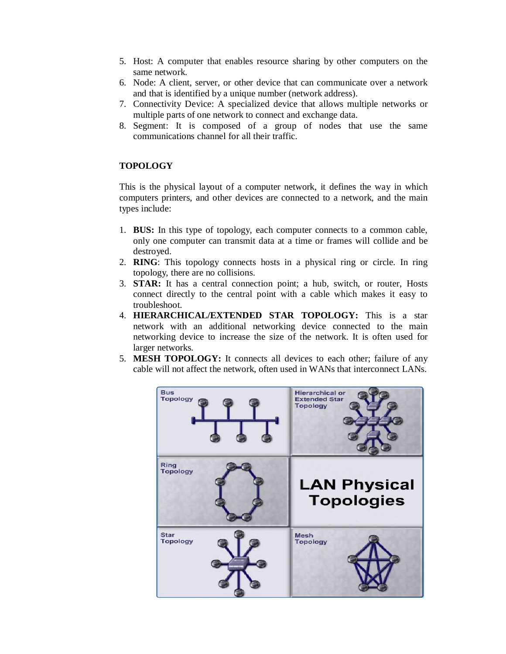- 5. Host: A computer that enables resource sharing by other computers on the same network.
- 6. Node: A client, server, or other device that can communicate over a network and that is identified by a unique number (network address).
- 7. Connectivity Device: A specialized device that allows multiple networks or multiple parts of one network to connect and exchange data.
- 8. Segment: It is composed of a group of nodes that use the same communications channel for all their traffic.

# **TOPOLOGY**

This is the physical layout of a computer network, it defines the way in which computers printers, and other devices are connected to a network, and the main types include:

- 1. **BUS:** In this type of topology, each computer connects to a common cable, only one computer can transmit data at a time or frames will collide and be destroyed.
- 2. **RING**: This topology connects hosts in a physical ring or circle. In ring topology, there are no collisions.
- 3. **STAR:** It has a central connection point; a hub, switch, or router, Hosts connect directly to the central point with a cable which makes it easy to troubleshoot.
- 4. **HIERARCHICAL/EXTENDED STAR TOPOLOGY:** This is a star network with an additional networking device connected to the main networking device to increase the size of the network. It is often used for larger networks.
- 5. **MESH TOPOLOGY:** It connects all devices to each other; failure of any cable will not affect the network, often used in WANs that interconnect LANs.

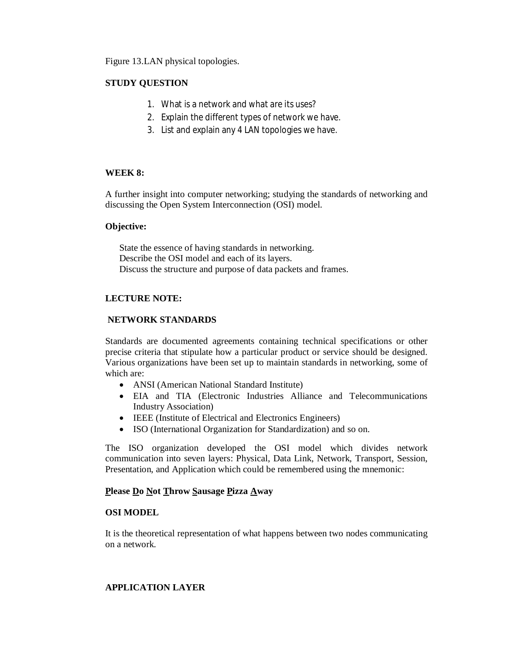Figure 13.LAN physical topologies.

# **STUDY QUESTION**

- 1. What is a network and what are its uses?
- 2. Explain the different types of network we have.
- 3. List and explain any 4 LAN topologies we have.

# **WEEK 8:**

A further insight into computer networking; studying the standards of networking and discussing the Open System Interconnection (OSI) model.

## **Objective:**

State the essence of having standards in networking. Describe the OSI model and each of its layers. Discuss the structure and purpose of data packets and frames.

# **LECTURE NOTE:**

## **NETWORK STANDARDS**

Standards are documented agreements containing technical specifications or other precise criteria that stipulate how a particular product or service should be designed. Various organizations have been set up to maintain standards in networking, some of which are:

- ANSI (American National Standard Institute)
- EIA and TIA (Electronic Industries Alliance and Telecommunications Industry Association)
- IEEE (Institute of Electrical and Electronics Engineers)
- ISO (International Organization for Standardization) and so on.

The ISO organization developed the OSI model which divides network communication into seven layers: Physical, Data Link, Network, Transport, Session, Presentation, and Application which could be remembered using the mnemonic:

# **Please Do Not Throw Sausage Pizza Away**

### **OSI MODEL**

It is the theoretical representation of what happens between two nodes communicating on a network.

# **APPLICATION LAYER**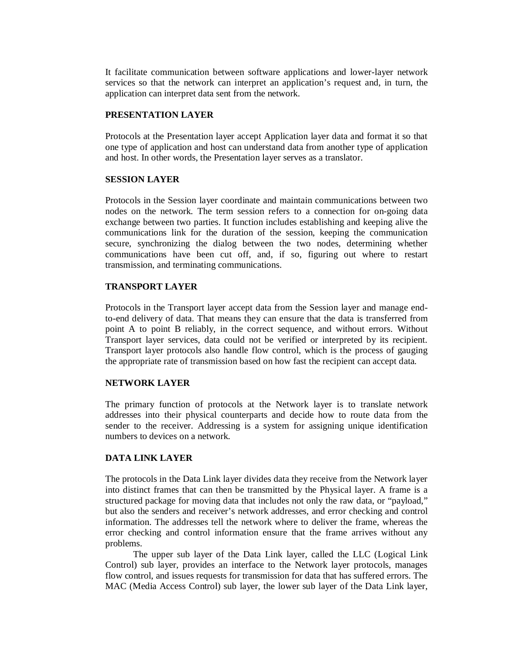It facilitate communication between software applications and lower-layer network services so that the network can interpret an application's request and, in turn, the application can interpret data sent from the network.

### **PRESENTATION LAYER**

Protocols at the Presentation layer accept Application layer data and format it so that one type of application and host can understand data from another type of application and host. In other words, the Presentation layer serves as a translator.

### **SESSION LAYER**

Protocols in the Session layer coordinate and maintain communications between two nodes on the network. The term session refers to a connection for on-going data exchange between two parties. It function includes establishing and keeping alive the communications link for the duration of the session, keeping the communication secure, synchronizing the dialog between the two nodes, determining whether communications have been cut off, and, if so, figuring out where to restart transmission, and terminating communications.

### **TRANSPORT LAYER**

Protocols in the Transport layer accept data from the Session layer and manage endto-end delivery of data. That means they can ensure that the data is transferred from point A to point B reliably, in the correct sequence, and without errors. Without Transport layer services, data could not be verified or interpreted by its recipient. Transport layer protocols also handle flow control, which is the process of gauging the appropriate rate of transmission based on how fast the recipient can accept data.

### **NETWORK LAYER**

The primary function of protocols at the Network layer is to translate network addresses into their physical counterparts and decide how to route data from the sender to the receiver. Addressing is a system for assigning unique identification numbers to devices on a network.

### **DATA LINK LAYER**

The protocols in the Data Link layer divides data they receive from the Network layer into distinct frames that can then be transmitted by the Physical layer. A frame is a structured package for moving data that includes not only the raw data, or "payload," but also the senders and receiver's network addresses, and error checking and control information. The addresses tell the network where to deliver the frame, whereas the error checking and control information ensure that the frame arrives without any problems.

The upper sub layer of the Data Link layer, called the LLC (Logical Link Control) sub layer, provides an interface to the Network layer protocols, manages flow control, and issues requests for transmission for data that has suffered errors. The MAC (Media Access Control) sub layer, the lower sub layer of the Data Link layer,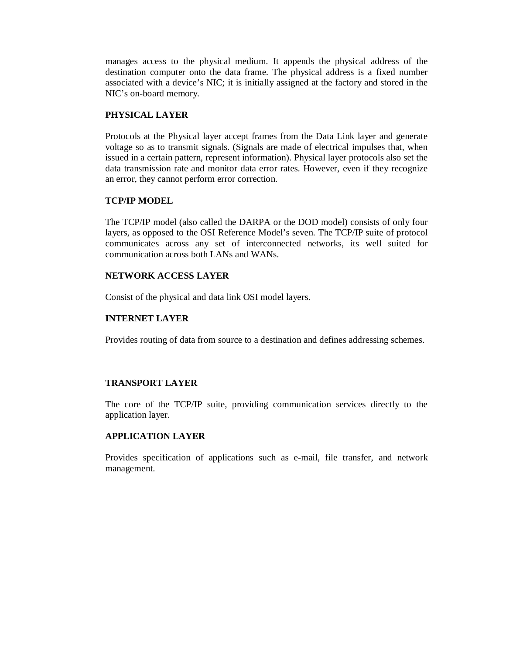manages access to the physical medium. It appends the physical address of the destination computer onto the data frame. The physical address is a fixed number associated with a device's NIC; it is initially assigned at the factory and stored in the NIC's on-board memory.

## **PHYSICAL LAYER**

Protocols at the Physical layer accept frames from the Data Link layer and generate voltage so as to transmit signals. (Signals are made of electrical impulses that, when issued in a certain pattern, represent information). Physical layer protocols also set the data transmission rate and monitor data error rates. However, even if they recognize an error, they cannot perform error correction.

### **TCP/IP MODEL**

The TCP/IP model (also called the DARPA or the DOD model) consists of only four layers, as opposed to the OSI Reference Model's seven. The TCP/IP suite of protocol communicates across any set of interconnected networks, its well suited for communication across both LANs and WANs.

## **NETWORK ACCESS LAYER**

Consist of the physical and data link OSI model layers.

## **INTERNET LAYER**

Provides routing of data from source to a destination and defines addressing schemes.

# **TRANSPORT LAYER**

The core of the TCP/IP suite, providing communication services directly to the application layer.

# **APPLICATION LAYER**

Provides specification of applications such as e-mail, file transfer, and network management.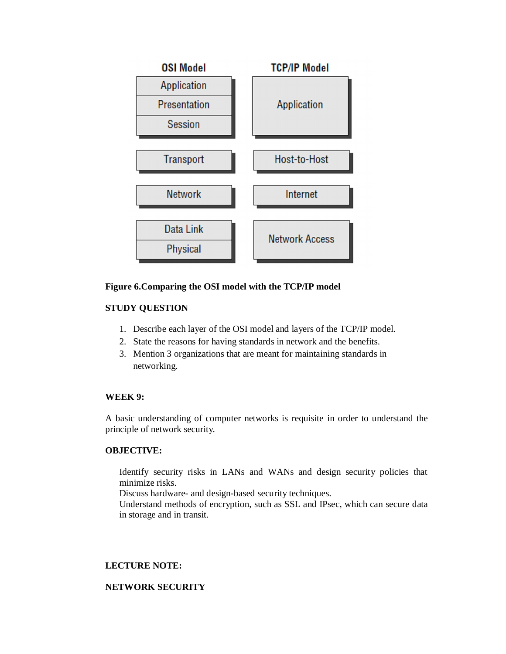

# **Figure 6.Comparing the OSI model with the TCP/IP model**

# **STUDY QUESTION**

- 1. Describe each layer of the OSI model and layers of the TCP/IP model.
- 2. State the reasons for having standards in network and the benefits.
- 3. Mention 3 organizations that are meant for maintaining standards in networking.

### **WEEK 9:**

A basic understanding of computer networks is requisite in order to understand the principle of network security.

### **OBJECTIVE:**

Identify security risks in LANs and WANs and design security policies that minimize risks.

Discuss hardware- and design-based security techniques.

Understand methods of encryption, such as SSL and IPsec, which can secure data in storage and in transit.

# **LECTURE NOTE:**

### **NETWORK SECURITY**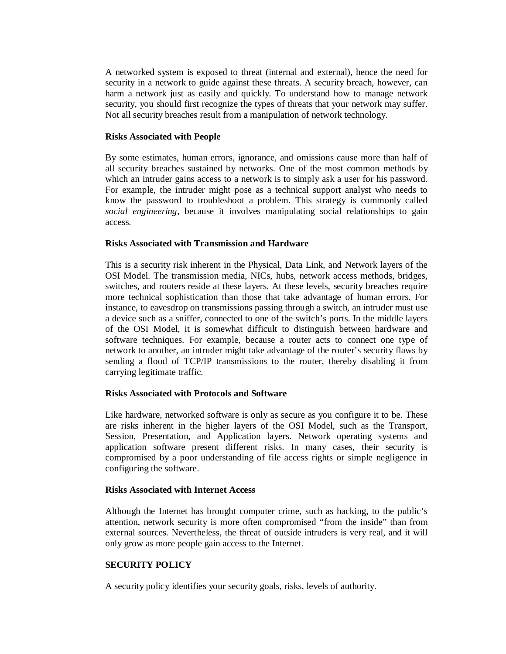A networked system is exposed to threat (internal and external), hence the need for security in a network to guide against these threats. A security breach, however, can harm a network just as easily and quickly. To understand how to manage network security, you should first recognize the types of threats that your network may suffer. Not all security breaches result from a manipulation of network technology.

#### **Risks Associated with People**

By some estimates, human errors, ignorance, and omissions cause more than half of all security breaches sustained by networks. One of the most common methods by which an intruder gains access to a network is to simply ask a user for his password. For example, the intruder might pose as a technical support analyst who needs to know the password to troubleshoot a problem. This strategy is commonly called *social engineering,* because it involves manipulating social relationships to gain access.

#### **Risks Associated with Transmission and Hardware**

This is a security risk inherent in the Physical, Data Link, and Network layers of the OSI Model. The transmission media, NICs, hubs, network access methods, bridges, switches, and routers reside at these layers. At these levels, security breaches require more technical sophistication than those that take advantage of human errors. For instance, to eavesdrop on transmissions passing through a switch, an intruder must use a device such as a sniffer, connected to one of the switch's ports. In the middle layers of the OSI Model, it is somewhat difficult to distinguish between hardware and software techniques. For example, because a router acts to connect one type of network to another, an intruder might take advantage of the router's security flaws by sending a flood of TCP/IP transmissions to the router, thereby disabling it from carrying legitimate traffic.

#### **Risks Associated with Protocols and Software**

Like hardware, networked software is only as secure as you configure it to be. These are risks inherent in the higher layers of the OSI Model, such as the Transport, Session, Presentation, and Application layers. Network operating systems and application software present different risks. In many cases, their security is compromised by a poor understanding of file access rights or simple negligence in configuring the software.

#### **Risks Associated with Internet Access**

Although the Internet has brought computer crime, such as hacking, to the public's attention, network security is more often compromised "from the inside" than from external sources. Nevertheless, the threat of outside intruders is very real, and it will only grow as more people gain access to the Internet.

### **SECURITY POLICY**

A security policy identifies your security goals, risks, levels of authority.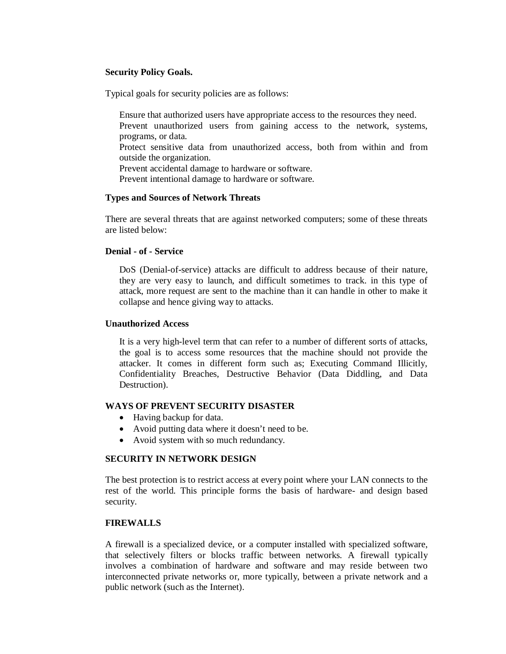## **Security Policy Goals.**

Typical goals for security policies are as follows:

Ensure that authorized users have appropriate access to the resources they need. Prevent unauthorized users from gaining access to the network, systems, programs, or data.

Protect sensitive data from unauthorized access, both from within and from outside the organization.

Prevent accidental damage to hardware or software.

Prevent intentional damage to hardware or software.

### **Types and Sources of Network Threats**

There are several threats that are against networked computers; some of these threats are listed below:

#### **Denial - of - Service**

DoS (Denial-of-service) attacks are difficult to address because of their nature, they are very easy to launch, and difficult sometimes to track. in this type of attack, more request are sent to the machine than it can handle in other to make it collapse and hence giving way to attacks.

#### **Unauthorized Access**

It is a very high-level term that can refer to a number of different sorts of attacks, the goal is to access some resources that the machine should not provide the attacker. It comes in different form such as; Executing Command Illicitly, Confidentiality Breaches, Destructive Behavior (Data Diddling, and Data Destruction).

### **WAYS OF PREVENT SECURITY DISASTER**

- Having backup for data.
- Avoid putting data where it doesn't need to be.
- Avoid system with so much redundancy.

## **SECURITY IN NETWORK DESIGN**

The best protection is to restrict access at every point where your LAN connects to the rest of the world. This principle forms the basis of hardware- and design based security.

## **FIREWALLS**

A firewall is a specialized device, or a computer installed with specialized software, that selectively filters or blocks traffic between networks. A firewall typically involves a combination of hardware and software and may reside between two interconnected private networks or, more typically, between a private network and a public network (such as the Internet).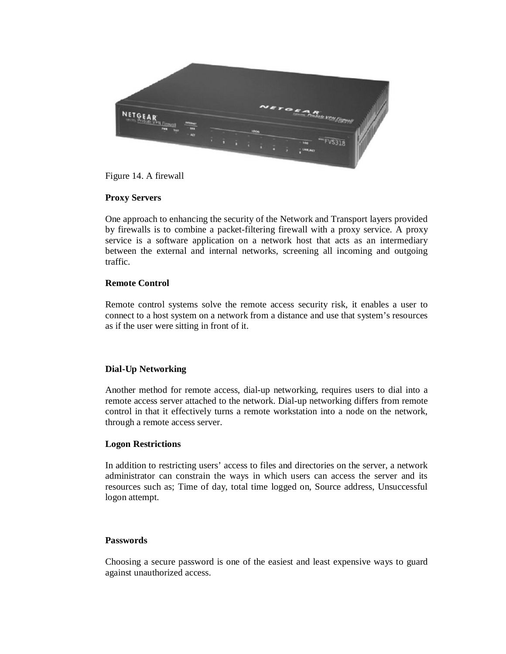

Figure 14. A firewall

## **Proxy Servers**

One approach to enhancing the security of the Network and Transport layers provided by firewalls is to combine a packet-filtering firewall with a proxy service. A proxy service is a software application on a network host that acts as an intermediary between the external and internal networks, screening all incoming and outgoing traffic.

## **Remote Control**

Remote control systems solve the remote access security risk, it enables a user to connect to a host system on a network from a distance and use that system's resources as if the user were sitting in front of it.

# **Dial-Up Networking**

Another method for remote access, dial-up networking, requires users to dial into a remote access server attached to the network. Dial-up networking differs from remote control in that it effectively turns a remote workstation into a node on the network, through a remote access server.

### **Logon Restrictions**

In addition to restricting users' access to files and directories on the server, a network administrator can constrain the ways in which users can access the server and its resources such as; Time of day, total time logged on, Source address, Unsuccessful logon attempt.

### **Passwords**

Choosing a secure password is one of the easiest and least expensive ways to guard against unauthorized access.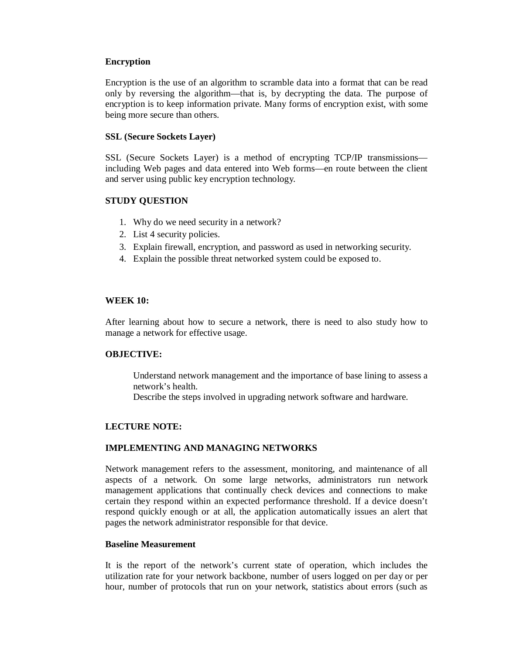### **Encryption**

Encryption is the use of an algorithm to scramble data into a format that can be read only by reversing the algorithm—that is, by decrypting the data. The purpose of encryption is to keep information private. Many forms of encryption exist, with some being more secure than others.

### **SSL (Secure Sockets Layer)**

SSL (Secure Sockets Layer) is a method of encrypting TCP/IP transmissions including Web pages and data entered into Web forms—en route between the client and server using public key encryption technology.

## **STUDY QUESTION**

- 1. Why do we need security in a network?
- 2. List 4 security policies.
- 3. Explain firewall, encryption, and password as used in networking security.
- 4. Explain the possible threat networked system could be exposed to.

### **WEEK 10:**

After learning about how to secure a network, there is need to also study how to manage a network for effective usage.

### **OBJECTIVE:**

Understand network management and the importance of base lining to assess a network's health.

Describe the steps involved in upgrading network software and hardware.

# **LECTURE NOTE:**

### **IMPLEMENTING AND MANAGING NETWORKS**

Network management refers to the assessment, monitoring, and maintenance of all aspects of a network. On some large networks, administrators run network management applications that continually check devices and connections to make certain they respond within an expected performance threshold. If a device doesn't respond quickly enough or at all, the application automatically issues an alert that pages the network administrator responsible for that device.

### **Baseline Measurement**

It is the report of the network's current state of operation, which includes the utilization rate for your network backbone, number of users logged on per day or per hour, number of protocols that run on your network, statistics about errors (such as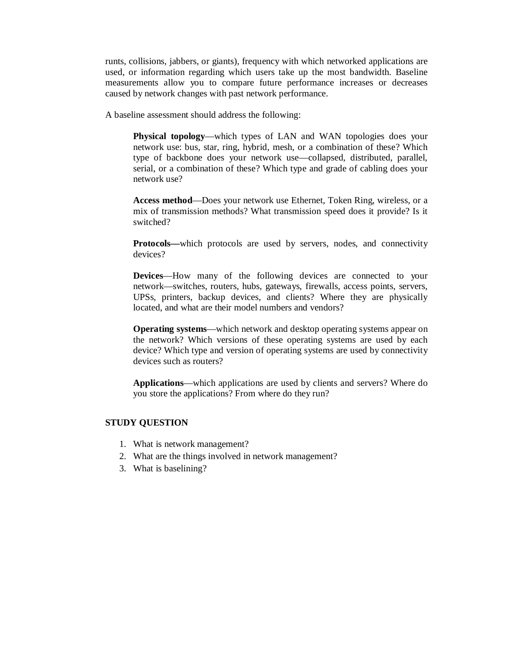runts, collisions, jabbers, or giants), frequency with which networked applications are used, or information regarding which users take up the most bandwidth. Baseline measurements allow you to compare future performance increases or decreases caused by network changes with past network performance.

A baseline assessment should address the following:

**Physical topology**—which types of LAN and WAN topologies does your network use: bus, star, ring, hybrid, mesh, or a combination of these? Which type of backbone does your network use—collapsed, distributed, parallel, serial, or a combination of these? Which type and grade of cabling does your network use?

**Access method**—Does your network use Ethernet, Token Ring, wireless, or a mix of transmission methods? What transmission speed does it provide? Is it switched?

**Protocols—**which protocols are used by servers, nodes, and connectivity devices?

**Devices**—How many of the following devices are connected to your network—switches, routers, hubs, gateways, firewalls, access points, servers, UPSs, printers, backup devices, and clients? Where they are physically located, and what are their model numbers and vendors?

**Operating systems**—which network and desktop operating systems appear on the network? Which versions of these operating systems are used by each device? Which type and version of operating systems are used by connectivity devices such as routers?

**Applications**—which applications are used by clients and servers? Where do you store the applications? From where do they run?

#### **STUDY QUESTION**

- 1. What is network management?
- 2. What are the things involved in network management?
- 3. What is baselining?